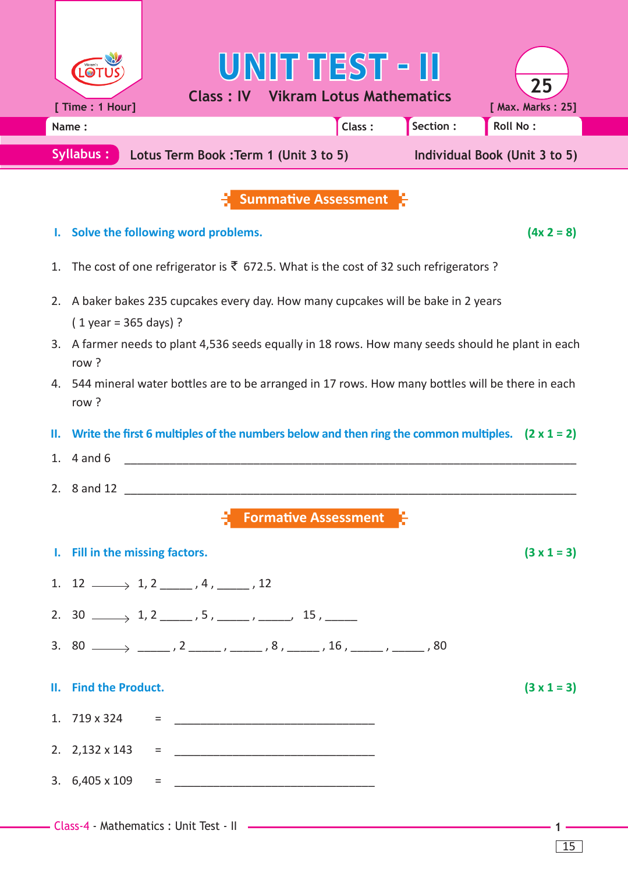|                                                                                                       |                                                                                                            |                                                                                    | UNIT TEST - II<br><b>Class: IV Vikram Lotus Mathematics</b> |  |                               | 25                                                                                                      |  |
|-------------------------------------------------------------------------------------------------------|------------------------------------------------------------------------------------------------------------|------------------------------------------------------------------------------------|-------------------------------------------------------------|--|-------------------------------|---------------------------------------------------------------------------------------------------------|--|
|                                                                                                       | [ Time : 1 Hour]                                                                                           |                                                                                    |                                                             |  | Section:                      | [ Max. Marks: 25]<br>Roll No:                                                                           |  |
|                                                                                                       | Class:<br>Name:<br>Syllabus:<br>Lotus Term Book : Term 1 (Unit 3 to 5)                                     |                                                                                    |                                                             |  | Individual Book (Unit 3 to 5) |                                                                                                         |  |
|                                                                                                       |                                                                                                            |                                                                                    |                                                             |  |                               |                                                                                                         |  |
|                                                                                                       |                                                                                                            |                                                                                    | <b>Summative Assessment</b>                                 |  |                               |                                                                                                         |  |
|                                                                                                       |                                                                                                            | Solve the following word problems.                                                 |                                                             |  |                               | $(4x 2 = 8)$                                                                                            |  |
| The cost of one refrigerator is $\bar{\tau}$ 672.5. What is the cost of 32 such refrigerators ?<br>1. |                                                                                                            |                                                                                    |                                                             |  |                               |                                                                                                         |  |
| 2.                                                                                                    | A baker bakes 235 cupcakes every day. How many cupcakes will be bake in 2 years                            |                                                                                    |                                                             |  |                               |                                                                                                         |  |
|                                                                                                       | $(1$ year = 365 days) ?                                                                                    |                                                                                    |                                                             |  |                               |                                                                                                         |  |
| 3.                                                                                                    | A farmer needs to plant 4,536 seeds equally in 18 rows. How many seeds should he plant in each<br>row?     |                                                                                    |                                                             |  |                               |                                                                                                         |  |
|                                                                                                       | 4. 544 mineral water bottles are to be arranged in 17 rows. How many bottles will be there in each<br>row? |                                                                                    |                                                             |  |                               |                                                                                                         |  |
| Ш.                                                                                                    |                                                                                                            |                                                                                    |                                                             |  |                               | Write the first 6 multiples of the numbers below and then ring the common multiples. $(2 \times 1 = 2)$ |  |
| 1.                                                                                                    | $4$ and $6$                                                                                                |                                                                                    |                                                             |  |                               |                                                                                                         |  |
|                                                                                                       | 2. 8 and 12                                                                                                |                                                                                    |                                                             |  |                               |                                                                                                         |  |
|                                                                                                       |                                                                                                            |                                                                                    | <b>Formative Assessment</b>                                 |  |                               |                                                                                                         |  |
|                                                                                                       | I. Fill in the missing factors.                                                                            |                                                                                    |                                                             |  |                               | $(3 \times 1 = 3)$                                                                                      |  |
|                                                                                                       |                                                                                                            | 1. $12 \longrightarrow 1, 2 \longrightarrow 4, \underline{\qquad}$ , 12            |                                                             |  |                               |                                                                                                         |  |
|                                                                                                       |                                                                                                            | 2. $30 \longrightarrow 1, 2 \longrightarrow 5, \dots, 5 \longrightarrow 15, \dots$ |                                                             |  |                               |                                                                                                         |  |
|                                                                                                       |                                                                                                            |                                                                                    |                                                             |  |                               |                                                                                                         |  |
|                                                                                                       | II. Find the Product.                                                                                      |                                                                                    |                                                             |  |                               | $(3 \times 1 = 3)$                                                                                      |  |
|                                                                                                       |                                                                                                            | 1. $719 \times 324$ =                                                              |                                                             |  |                               |                                                                                                         |  |
|                                                                                                       |                                                                                                            |                                                                                    |                                                             |  |                               |                                                                                                         |  |
|                                                                                                       |                                                                                                            |                                                                                    |                                                             |  |                               |                                                                                                         |  |
|                                                                                                       |                                                                                                            |                                                                                    |                                                             |  |                               |                                                                                                         |  |
|                                                                                                       |                                                                                                            |                                                                                    |                                                             |  |                               |                                                                                                         |  |

15